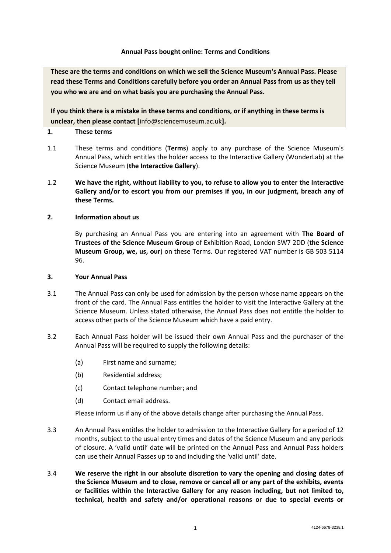### **Annual Pass bought online: Terms and Conditions**

**These are the terms and conditions on which we sell the Science Museum's Annual Pass. Please read these Terms and Conditions carefully before you order an Annual Pass from us as they tell you who we are and on what basis you are purchasing the Annual Pass.**

**If you think there is a mistake in these terms and conditions, or if anything in these terms is unclear, then please contact [**info@sciencemuseum.ac.uk**].**

### **1. These terms**

- 1.1 These terms and conditions (**Terms**) apply to any purchase of the Science Museum's Annual Pass, which entitles the holder access to the Interactive Gallery (WonderLab) at the Science Museum (**the Interactive Gallery**).
- 1.2 **We have the right, without liability to you, to refuse to allow you to enter the Interactive Gallery and/or to escort you from our premises if you, in our judgment, breach any of these Terms.**

# **2. Information about us**

By purchasing an Annual Pass you are entering into an agreement with **The Board of Trustees of the Science Museum Group** of Exhibition Road, London SW7 2DD (**the Science Museum Group, we, us, our**) on these Terms. Our registered VAT number is GB 503 5114 96.

#### **3. Your Annual Pass**

- 3.1 The Annual Pass can only be used for admission by the person whose name appears on the front of the card. The Annual Pass entitles the holder to visit the Interactive Gallery at the Science Museum. Unless stated otherwise, the Annual Pass does not entitle the holder to access other parts of the Science Museum which have a paid entry.
- 3.2 Each Annual Pass holder will be issued their own Annual Pass and the purchaser of the Annual Pass will be required to supply the following details:
	- (a) First name and surname;
	- (b) Residential address;
	- (c) Contact telephone number; and
	- (d) Contact email address.

Please inform us if any of the above details change after purchasing the Annual Pass.

- 3.3 An Annual Pass entitles the holder to admission to the Interactive Gallery for a period of 12 months, subject to the usual entry times and dates of the Science Museum and any periods of closure. A 'valid until' date will be printed on the Annual Pass and Annual Pass holders can use their Annual Passes up to and including the 'valid until' date.
- 3.4 **We reserve the right in our absolute discretion to vary the opening and closing dates of the Science Museum and to close, remove or cancel all or any part of the exhibits, events or facilities within the Interactive Gallery for any reason including, but not limited to, technical, health and safety and/or operational reasons or due to special events or**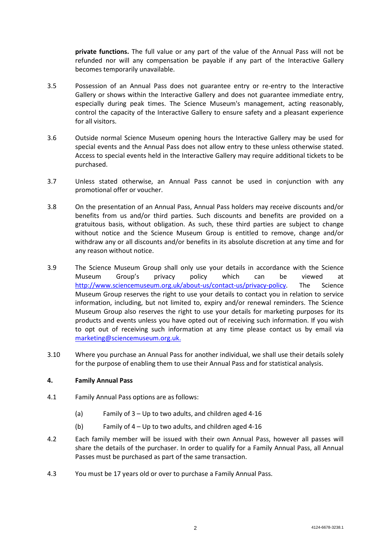**private functions.** The full value or any part of the value of the Annual Pass will not be refunded nor will any compensation be payable if any part of the Interactive Gallery becomes temporarily unavailable.

- 3.5 Possession of an Annual Pass does not guarantee entry or re-entry to the Interactive Gallery or shows within the Interactive Gallery and does not guarantee immediate entry, especially during peak times. The Science Museum's management, acting reasonably, control the capacity of the Interactive Gallery to ensure safety and a pleasant experience for all visitors.
- 3.6 Outside normal Science Museum opening hours the Interactive Gallery may be used for special events and the Annual Pass does not allow entry to these unless otherwise stated. Access to special events held in the Interactive Gallery may require additional tickets to be purchased.
- 3.7 Unless stated otherwise, an Annual Pass cannot be used in conjunction with any promotional offer or voucher.
- 3.8 On the presentation of an Annual Pass, Annual Pass holders may receive discounts and/or benefits from us and/or third parties. Such discounts and benefits are provided on a gratuitous basis, without obligation. As such, these third parties are subject to change without notice and the Science Museum Group is entitled to remove, change and/or withdraw any or all discounts and/or benefits in its absolute discretion at any time and for any reason without notice.
- 3.9 The Science Museum Group shall only use your details in accordance with the Science Museum Group's privacy policy which can be viewed at [http://www.sciencemuseum.org.uk/about-us/contact-us/privacy-policy.](http://www.sciencemuseum.org.uk/about-us/contact-us/privacy-policy) The Science Museum Group reserves the right to use your details to contact you in relation to service information, including, but not limited to, expiry and/or renewal reminders. The Science Museum Group also reserves the right to use your details for marketing purposes for its products and events unless you have opted out of receiving such information. If you wish to opt out of receiving such information at any time please contact us by email via [marketing@sciencemuseum.org.uk.](mailto:marketing@sciencemuseum.org.uk)
- 3.10 Where you purchase an Annual Pass for another individual, we shall use their details solely for the purpose of enabling them to use their Annual Pass and for statistical analysis.

# **4. Family Annual Pass**

- 4.1 Family Annual Pass options are as follows:
	- (a) Family of 3 Up to two adults, and children aged 4-16
	- (b) Family of 4 Up to two adults, and children aged 4-16
- 4.2 Each family member will be issued with their own Annual Pass, however all passes will share the details of the purchaser. In order to qualify for a Family Annual Pass, all Annual Passes must be purchased as part of the same transaction.
- 4.3 You must be 17 years old or over to purchase a Family Annual Pass.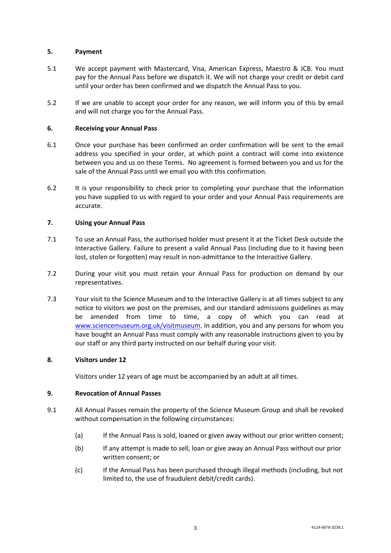# **5. Payment**

- 5.1 We accept payment with Mastercard, Visa, American Express, Maestro & JCB. You must pay for the Annual Pass before we dispatch it. We will not charge your credit or debit card until your order has been confirmed and we dispatch the Annual Pass to you.
- 5.2 If we are unable to accept your order for any reason, we will inform you of this by email and will not charge you for the Annual Pass.

# **6. Receiving your Annual Pass**

- 6.1 Once your purchase has been confirmed an order confirmation will be sent to the email address you specified in your order, at which point a contract will come into existence between you and us on these Terms. No agreement is formed between you and us for the sale of the Annual Pass until we email you with this confirmation.
- 6.2 It is your responsibility to check prior to completing your purchase that the information you have supplied to us with regard to your order and your Annual Pass requirements are accurate.

# **7. Using your Annual Pass**

- 7.1 To use an Annual Pass, the authorised holder must present it at the Ticket Desk outside the Interactive Gallery. Failure to present a valid Annual Pass (including due to it having been lost, stolen or forgotten) may result in non-admittance to the Interactive Gallery.
- 7.2 During your visit you must retain your Annual Pass for production on demand by our representatives.
- 7.3 Your visit to the Science Museum and to the Interactive Gallery is at all times subject to any notice to visitors we post on the premises, and our standard admissions guidelines as may be amended from time to time, a copy of which you can read at [www.sciencemuseum.org.uk/visitmuseum.](http://www.sciencemuseum.org.uk/visitmuseum) In addition, you and any persons for whom you have bought an Annual Pass must comply with any reasonable instructions given to you by our staff or any third party instructed on our behalf during your visit.

# **8. Visitors under 12**

Visitors under 12 years of age must be accompanied by an adult at all times.

# **9. Revocation of Annual Passes**

- 9.1 All Annual Passes remain the property of the Science Museum Group and shall be revoked without compensation in the following circumstances:
	- (a) If the Annual Pass is sold, loaned or given away without our prior written consent;
	- (b) If any attempt is made to sell, loan or give away an Annual Pass without our prior written consent; or
	- (c) If the Annual Pass has been purchased through illegal methods (including, but not limited to, the use of fraudulent debit/credit cards).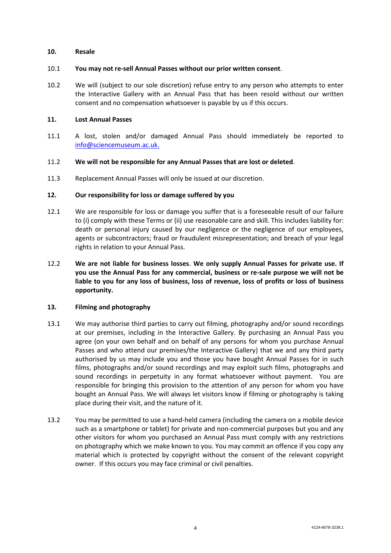### **10. Resale**

### 10.1 **You may not re-sell Annual Passes without our prior written consent**.

10.2 We will (subject to our sole discretion) refuse entry to any person who attempts to enter the Interactive Gallery with an Annual Pass that has been resold without our written consent and no compensation whatsoever is payable by us if this occurs.

### **11. Lost Annual Passes**

11.1 A lost, stolen and/or damaged Annual Pass should immediately be reported to [info@sciencemuseum.ac.uk.](mailto:info@sciencemuseum.ac.uk)

### 11.2 **We will not be responsible for any Annual Passes that are lost or deleted**.

11.3 Replacement Annual Passes will only be issued at our discretion.

# **12. Our responsibility for loss or damage suffered by you**

- 12.1 We are responsible for loss or damage you suffer that is a foreseeable result of our failure to (i) comply with these Terms or (ii) use reasonable care and skill. This includes liability for: death or personal injury caused by our negligence or the negligence of our employees, agents or subcontractors; fraud or fraudulent misrepresentation; and breach of your legal rights in relation to your Annual Pass.
- 12.2 **We are not liable for business losses**. **We only supply Annual Passes for private use. If you use the Annual Pass for any commercial, business or re-sale purpose we will not be liable to you for any loss of business, loss of revenue, loss of profits or loss of business opportunity.**

# **13. Filming and photography**

- 13.1 We may authorise third parties to carry out filming, photography and/or sound recordings at our premises, including in the Interactive Gallery. By purchasing an Annual Pass you agree (on your own behalf and on behalf of any persons for whom you purchase Annual Passes and who attend our premises/the Interactive Gallery) that we and any third party authorised by us may include you and those you have bought Annual Passes for in such films, photographs and/or sound recordings and may exploit such films, photographs and sound recordings in perpetuity in any format whatsoever without payment. You are responsible for bringing this provision to the attention of any person for whom you have bought an Annual Pass. We will always let visitors know if filming or photography is taking place during their visit, and the nature of it.
- 13.2 You may be permitted to use a hand-held camera (including the camera on a mobile device such as a smartphone or tablet) for private and non-commercial purposes but you and any other visitors for whom you purchased an Annual Pass must comply with any restrictions on photography which we make known to you. You may commit an offence if you copy any material which is protected by copyright without the consent of the relevant copyright owner. If this occurs you may face criminal or civil penalties.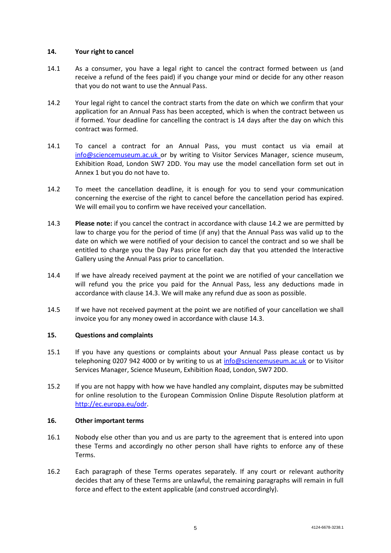## **14. Your right to cancel**

- 14.1 As a consumer, you have a legal right to cancel the contract formed between us (and receive a refund of the fees paid) if you change your mind or decide for any other reason that you do not want to use the Annual Pass.
- <span id="page-4-0"></span>14.2 Your legal right to cancel the contract starts from the date on which we confirm that your application for an Annual Pass has been accepted, which is when the contract between us if formed. Your deadline for cancelling the contract is 14 days after the day on which this contract was formed.
- 14.1 To cancel a contract for an Annual Pass, you must contact us via email at [info@sciencemuseum.ac.uk](mailto:info@sciencemuseum.ac.uk) or by writing to Visitor Services Manager, science museum, Exhibition Road, London SW7 2DD. You may use the model cancellation form set out in Annex 1 but you do not have to.
- 14.2 To meet the cancellation deadline, it is enough for you to send your communication concerning the exercise of the right to cancel before the cancellation period has expired. We will email you to confirm we have received your cancellation.
- <span id="page-4-1"></span>14.3 **Please note:** if you cancel the contract in accordance with clause [14.2](#page-4-0) we are permitted by law to charge you for the period of time (if any) that the Annual Pass was valid up to the date on which we were notified of your decision to cancel the contract and so we shall be entitled to charge you the Day Pass price for each day that you attended the Interactive Gallery using the Annual Pass prior to cancellation.
- 14.4 If we have already received payment at the point we are notified of your cancellation we will refund you the price you paid for the Annual Pass, less any deductions made in accordance with clause [14.3.](#page-4-1) We will make any refund due as soon as possible.
- 14.5 If we have not received payment at the point we are notified of your cancellation we shall invoice you for any money owed in accordance with clause [14.3.](#page-4-1)

# **15. Questions and complaints**

- 15.1 If you have any questions or complaints about your Annual Pass please contact us by telephoning 0207 942 4000 or by writing to us at [info@sciencemuseum.ac.uk](mailto:info@sciencemuseum.ac.uk) or to Visitor Services Manager, Science Museum, Exhibition Road, London, SW7 2DD.
- 15.2 If you are not happy with how we have handled any complaint, disputes may be submitted for online resolution to the European Commission Online Dispute Resolution platform at [http://ec.europa.eu/odr.](http://ec.europa.eu/odr)

# **16. Other important terms**

- 16.1 Nobody else other than you and us are party to the agreement that is entered into upon these Terms and accordingly no other person shall have rights to enforce any of these Terms.
- 16.2 Each paragraph of these Terms operates separately. If any court or relevant authority decides that any of these Terms are unlawful, the remaining paragraphs will remain in full force and effect to the extent applicable (and construed accordingly).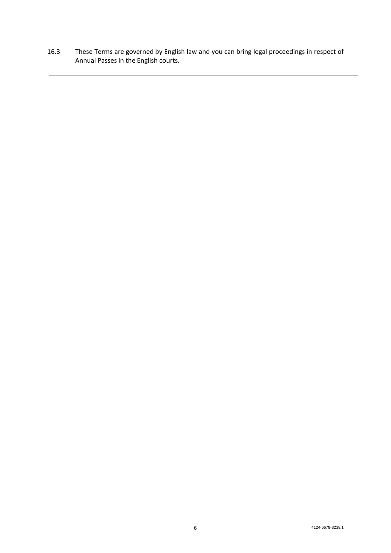16.3 These Terms are governed by English law and you can bring legal proceedings in respect of Annual Passes in the English courts.